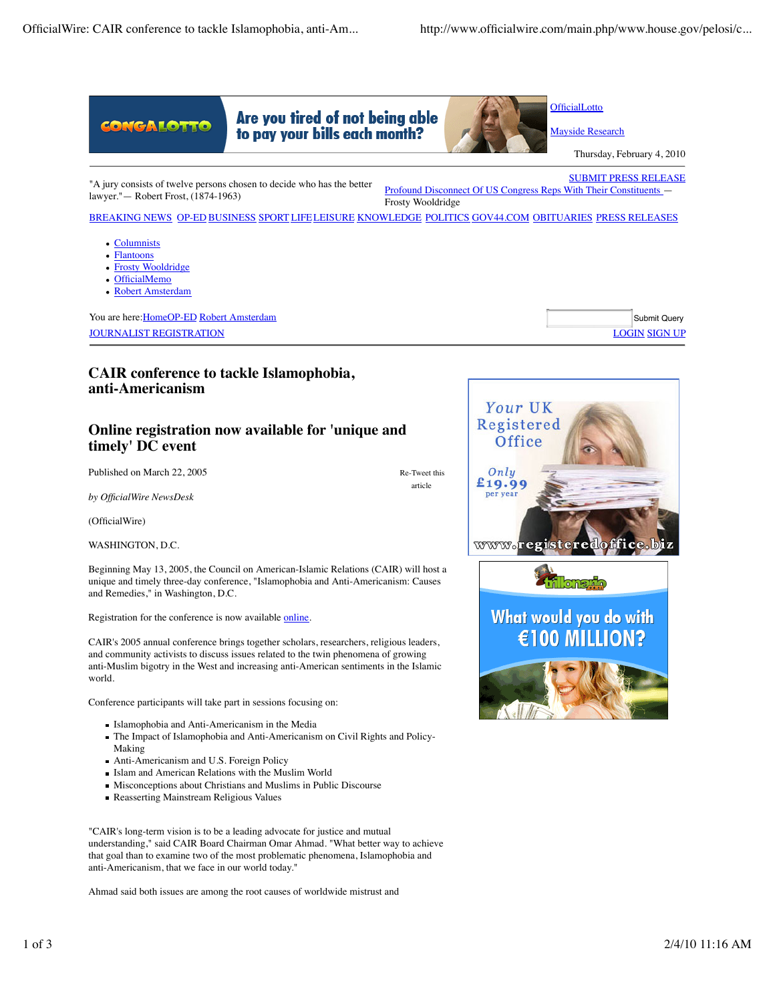

Re-Tweet this article

**timely' DC event**

Published on March 22, 2005

*by OfficialWire NewsDesk*

(OfficialWire)

WASHINGTON, D.C.

Beginning May 13, 2005, the Council on American-Islamic Relations (CAIR) will host a unique and timely three-day conference, "Islamophobia and Anti-Americanism: Causes and Remedies," in Washington, D.C.

Registration for the conference is now available online.

CAIR's 2005 annual conference brings together scholars, researchers, religious leaders, and community activists to discuss issues related to the twin phenomena of growing anti-Muslim bigotry in the West and increasing anti-American sentiments in the Islamic world.

Conference participants will take part in sessions focusing on:

- Islamophobia and Anti-Americanism in the Media
- The Impact of Islamophobia and Anti-Americanism on Civil Rights and Policy-Making
- Anti-Americanism and U.S. Foreign Policy
- Islam and American Relations with the Muslim World
- Misconceptions about Christians and Muslims in Public Discourse
- Reasserting Mainstream Religious Values

"CAIR's long-term vision is to be a leading advocate for justice and mutual understanding," said CAIR Board Chairman Omar Ahmad. "What better way to achieve that goal than to examine two of the most problematic phenomena, Islamophobia and anti-Americanism, that we face in our world today."

Ahmad said both issues are among the root causes of worldwide mistrust and

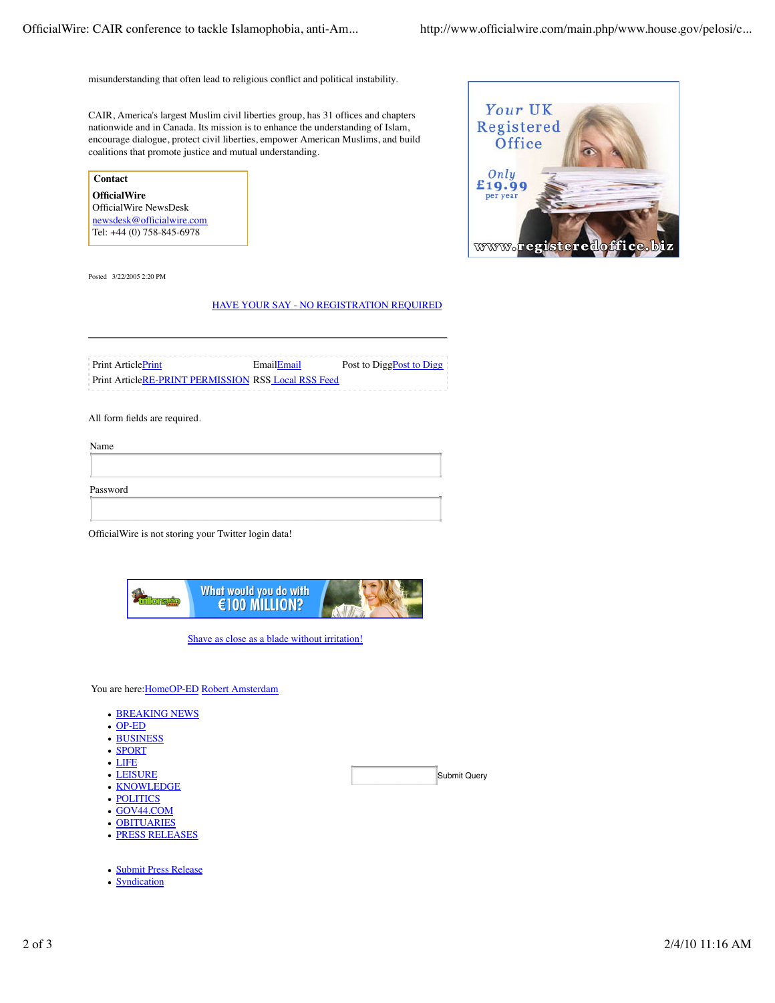misunderstanding that often lead to religious conflict and political instability.

CAIR, America's largest Muslim civil liberties group, has 31 offices and chapters nationwide and in Canada. Its mission is to enhance the understanding of Islam, encourage dialogue, protect civil liberties, empower American Muslims, and build coalitions that promote justice and mutual understanding.

**Contact OfficialWire** OfficialWire NewsDesk newsdesk@officialwire.com Tel: +44 (0) 758-845-6978

Your UK Registered Office Only £19.99 per year WWW

Posted 3/22/2005 2:20 PM

## HAVE YOUR SAY - NO REGISTRATION REQUIRED

Print Article**Print** Email**Email** Post to DiggPost to Digg Print ArticleRE-PRINT PERMISSION RSS Local RSS Feed

All form fields are required.

| Name     |  |  |  |
|----------|--|--|--|
|          |  |  |  |
| Password |  |  |  |
|          |  |  |  |

OfficialWire is not storing your Twitter login data!



Shave as close as a blade without irritation!

Submit Query

You are here: HomeOP-ED Robert Amsterdam

- **BREAKING NEWS**
- OP-ED
- BUSINESS
- SPORT
- LIFE
- LEISURE
- KNOWLEDGE
- POLITICS
- GOV44.COM
- OBITUARIES
- PRESS RELEASES
- Submit Press Release
- Syndication